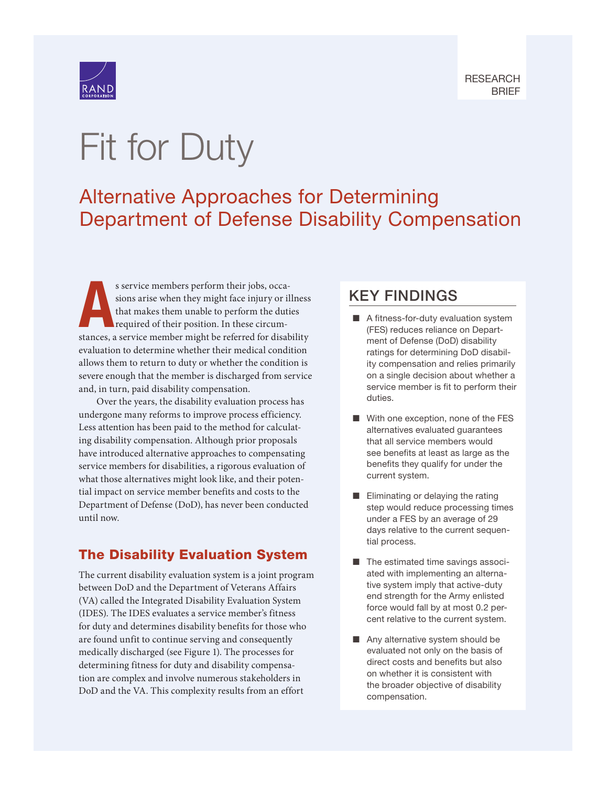

# Fit for Duty

# Alternative Approaches for Determining [Department of Defense Disability Compensation](https://www.rand.org/pubs/research_briefs/RBA1154-1.html)

A s service members perform their jobs, occasions arise when they might face injury or illness that makes them unable to perform the duties required of their position. In these circumstances, a service member might be referred for disability evaluation to determine whether their medical condition allows them to return to duty or whether the condition is severe enough that the member is discharged from service and, in turn, paid disability compensation.

Over the years, the disability evaluation process has undergone many reforms to improve process efficiency. Less attention has been paid to the method for calculating disability compensation. Although prior proposals have introduced alternative approaches to compensating service members for disabilities, a rigorous evaluation of what those alternatives might look like, and their potential impact on service member benefits and costs to the Department of Defense (DoD), has never been conducted until now.

# The Disability Evaluation System

The current disability evaluation system is a joint program between DoD and the Department of Veterans Affairs (VA) called the Integrated Disability Evaluation System (IDES). The IDES evaluates a service member's fitness for duty and determines disability benefits for those who are found unfit to continue serving and consequently medically discharged (see Figure 1). The processes for determining fitness for duty and disability compensation are complex and involve numerous stakeholders in DoD and the VA. This complexity results from an effort

# KEY FINDINGS

- $\blacksquare$  A fitness-for-duty evaluation system (FES) reduces reliance on Department of Defense (DoD) disability ratings for determining DoD disability compensation and relies primarily on a single decision about whether a service member is fit to perform their duties.
- $\blacksquare$  With one exception, none of the FES alternatives evaluated guarantees that all service members would see benefits at least as large as the benefits they qualify for under the current system.
- $\blacksquare$  Eliminating or delaying the rating step would reduce processing times under a FES by an average of 29 days relative to the current sequential process.
- $\blacksquare$  The estimated time savings associated with implementing an alternative system imply that active-duty end strength for the Army enlisted force would fall by at most 0.2 percent relative to the current system.
- $\blacksquare$  Any alternative system should be evaluated not only on the basis of direct costs and benefits but also on whether it is consistent with the broader objective of disability compensation.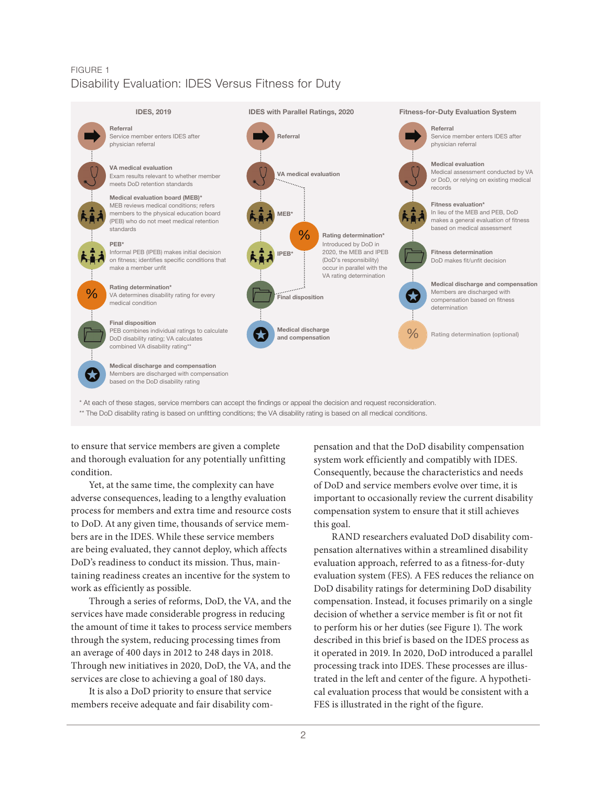#### FIGURE 1 Disability Evaluation: IDES Versus Fitness for Duty



to ensure that service members are given a complete and thorough evaluation for any potentially unfitting condition.

Yet, at the same time, the complexity can have adverse consequences, leading to a lengthy evaluation process for members and extra time and resource costs to DoD. At any given time, thousands of service members are in the IDES. While these service members are being evaluated, they cannot deploy, which affects DoD's readiness to conduct its mission. Thus, maintaining readiness creates an incentive for the system to work as efficiently as possible.

Through a series of reforms, DoD, the VA, and the services have made considerable progress in reducing the amount of time it takes to process service members through the system, reducing processing times from an average of 400 days in 2012 to 248 days in 2018. Through new initiatives in 2020, DoD, the VA, and the services are close to achieving a goal of 180 days.

It is also a DoD priority to ensure that service members receive adequate and fair disability compensation and that the DoD disability compensation system work efficiently and compatibly with IDES. Consequently, because the characteristics and needs of DoD and service members evolve over time, it is important to occasionally review the current disability compensation system to ensure that it still achieves this goal.

RAND researchers evaluated DoD disability compensation alternatives within a streamlined disability evaluation approach, referred to as a fitness-for-duty evaluation system (FES). A FES reduces the reliance on DoD disability ratings for determining DoD disability compensation. Instead, it focuses primarily on a single decision of whether a service member is fit or not fit to perform his or her duties (see Figure 1). The work described in this brief is based on the IDES process as it operated in 2019. In 2020, DoD introduced a parallel processing track into IDES. These processes are illustrated in the left and center of the figure. A hypothetical evaluation process that would be consistent with a FES is illustrated in the right of the figure.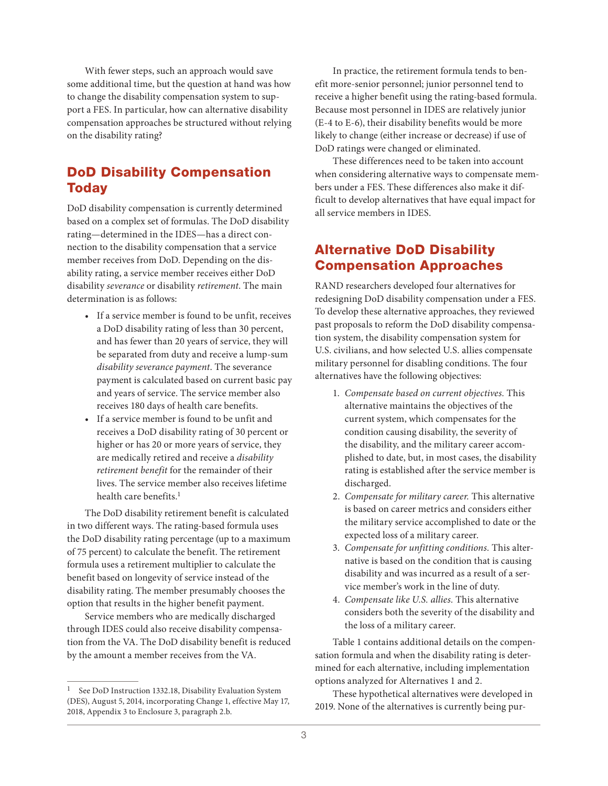With fewer steps, such an approach would save some additional time, but the question at hand was how to change the disability compensation system to support a FES. In particular, how can alternative disability compensation approaches be structured without relying on the disability rating?

### DoD Disability Compensation **Today**

DoD disability compensation is currently determined based on a complex set of formulas. The DoD disability rating—determined in the IDES—has a direct connection to the disability compensation that a service member receives from DoD. Depending on the disability rating, a service member receives either DoD disability *severance* or disability *retirement*. The main determination is as follows:

- If a service member is found to be unfit, receives a DoD disability rating of less than 30 percent, and has fewer than 20 years of service, they will be separated from duty and receive a lump-sum *disability severance payment*. The severance payment is calculated based on current basic pay and years of service. The service member also receives 180 days of health care benefits.
- If a service member is found to be unfit and receives a DoD disability rating of 30 percent or higher or has 20 or more years of service, they are medically retired and receive a *disability retirement benefit* for the remainder of their lives. The service member also receives lifetime health care benefits.1

The DoD disability retirement benefit is calculated in two different ways. The rating-based formula uses the DoD disability rating percentage (up to a maximum of 75 percent) to calculate the benefit. The retirement formula uses a retirement multiplier to calculate the benefit based on longevity of service instead of the disability rating. The member presumably chooses the option that results in the higher benefit payment.

Service members who are medically discharged through IDES could also receive disability compensation from the VA. The DoD disability benefit is reduced by the amount a member receives from the VA.

In practice, the retirement formula tends to benefit more-senior personnel; junior personnel tend to receive a higher benefit using the rating-based formula. Because most personnel in IDES are relatively junior (E-4 to E-6), their disability benefits would be more likely to change (either increase or decrease) if use of DoD ratings were changed or eliminated.

These differences need to be taken into account when considering alternative ways to compensate members under a FES. These differences also make it difficult to develop alternatives that have equal impact for all service members in IDES.

### Alternative DoD Disability Compensation Approaches

RAND researchers developed four alternatives for redesigning DoD disability compensation under a FES. To develop these alternative approaches, they reviewed past proposals to reform the DoD disability compensation system, the disability compensation system for U.S. civilians, and how selected U.S. allies compensate military personnel for disabling conditions. The four alternatives have the following objectives:

- 1. *Compensate based on current objectives.* This alternative maintains the objectives of the current system, which compensates for the condition causing disability, the severity of the disability, and the military career accomplished to date, but, in most cases, the disability rating is established after the service member is discharged.
- 2. *Compensate for military career.* This alternative is based on career metrics and considers either the military service accomplished to date or the expected loss of a military career.
- 3. *Compensate for unfitting conditions.* This alternative is based on the condition that is causing disability and was incurred as a result of a service member's work in the line of duty.
- 4. *Compensate like U.S. allies.* This alternative considers both the severity of the disability and the loss of a military career.

Table 1 contains additional details on the compensation formula and when the disability rating is determined for each alternative, including implementation options analyzed for Alternatives 1 and 2.

These hypothetical alternatives were developed in 2019. None of the alternatives is currently being pur-

See DoD Instruction 1332.18, Disability Evaluation System (DES), August 5, 2014, incorporating Change 1, effective May 17, 2018, Appendix 3 to Enclosure 3, paragraph 2.b.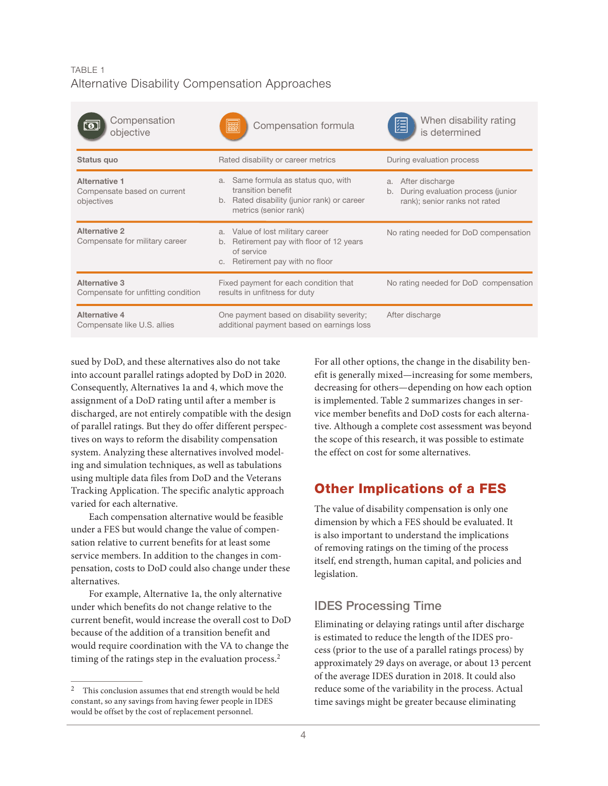#### TABLE 1 Alternative Disability Compensation Approaches

| Compensation<br>objective                                         | Compensation formula                                                                                                                 | When disability rating<br>隕<br>is determined                                                      |
|-------------------------------------------------------------------|--------------------------------------------------------------------------------------------------------------------------------------|---------------------------------------------------------------------------------------------------|
| Status quo                                                        | Rated disability or career metrics                                                                                                   | During evaluation process                                                                         |
| <b>Alternative 1</b><br>Compensate based on current<br>objectives | Same formula as status quo, with<br>a.<br>transition benefit<br>b. Rated disability (junior rank) or career<br>metrics (senior rank) | After discharge<br>a.<br>During evaluation process (junior<br>b.<br>rank); senior ranks not rated |
| <b>Alternative 2</b><br>Compensate for military career            | Value of lost military career<br>a.<br>Retirement pay with floor of 12 years<br>b.<br>of service<br>c. Retirement pay with no floor  | No rating needed for DoD compensation                                                             |
| <b>Alternative 3</b><br>Compensate for unfitting condition        | Fixed payment for each condition that<br>results in unfitness for duty                                                               | No rating needed for DoD compensation                                                             |
| <b>Alternative 4</b><br>Compensate like U.S. allies               | One payment based on disability severity;<br>additional payment based on earnings loss                                               | After discharge                                                                                   |

sued by DoD, and these alternatives also do not take into account parallel ratings adopted by DoD in 2020. Consequently, Alternatives 1a and 4, which move the assignment of a DoD rating until after a member is discharged, are not entirely compatible with the design of parallel ratings. But they do offer different perspectives on ways to reform the disability compensation system. Analyzing these alternatives involved modeling and simulation techniques, as well as tabulations using multiple data files from DoD and the Veterans Tracking Application. The specific analytic approach varied for each alternative.

Each compensation alternative would be feasible under a FES but would change the value of compensation relative to current benefits for at least some service members. In addition to the changes in compensation, costs to DoD could also change under these alternatives.

For example, Alternative 1a, the only alternative under which benefits do not change relative to the current benefit, would increase the overall cost to DoD because of the addition of a transition benefit and would require coordination with the VA to change the timing of the ratings step in the evaluation process.2

For all other options, the change in the disability benefit is generally mixed—increasing for some members, decreasing for others—depending on how each option is implemented. Table 2 summarizes changes in service member benefits and DoD costs for each alternative. Although a complete cost assessment was beyond the scope of this research, it was possible to estimate the effect on cost for some alternatives.

# Other Implications of a FES

The value of disability compensation is only one dimension by which a FES should be evaluated. It is also important to understand the implications of removing ratings on the timing of the process itself, end strength, human capital, and policies and legislation.

#### IDES Processing Time

Eliminating or delaying ratings until after discharge is estimated to reduce the length of the IDES process (prior to the use of a parallel ratings process) by approximately 29 days on average, or about 13 percent of the average IDES duration in 2018. It could also reduce some of the variability in the process. Actual time savings might be greater because eliminating

 $^{\rm 2}$   $\,$  This conclusion assumes that end strength would be held constant, so any savings from having fewer people in IDES would be offset by the cost of replacement personnel.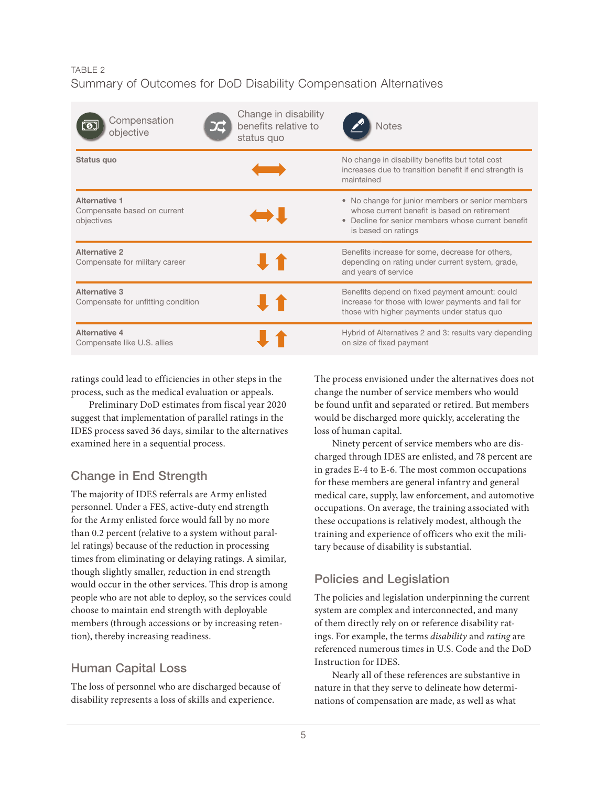#### TABLE 2 Summary of Outcomes for DoD Disability Compensation Alternatives

| Compensation<br>objective                                  | Change in disability<br>benefits relative to<br>status quo | <b>Notes</b>                                                                                                                                                                             |
|------------------------------------------------------------|------------------------------------------------------------|------------------------------------------------------------------------------------------------------------------------------------------------------------------------------------------|
| Status quo                                                 |                                                            | No change in disability benefits but total cost<br>increases due to transition benefit if end strength is<br>maintained                                                                  |
| Alternative 1<br>Compensate based on current<br>objectives |                                                            | • No change for junior members or senior members<br>whose current benefit is based on retirement<br>Decline for senior members whose current benefit<br>$\bullet$<br>is based on ratings |
| <b>Alternative 2</b><br>Compensate for military career     |                                                            | Benefits increase for some, decrease for others,<br>depending on rating under current system, grade,<br>and years of service                                                             |
| Alternative 3<br>Compensate for unfitting condition        |                                                            | Benefits depend on fixed payment amount: could<br>increase for those with lower payments and fall for<br>those with higher payments under status quo                                     |
| Alternative 4<br>Compensate like U.S. allies               |                                                            | Hybrid of Alternatives 2 and 3: results vary depending<br>on size of fixed payment                                                                                                       |

ratings could lead to efficiencies in other steps in the process, such as the medical evaluation or appeals.

Preliminary DoD estimates from fiscal year 2020 suggest that implementation of parallel ratings in the IDES process saved 36 days, similar to the alternatives examined here in a sequential process.

# Change in End Strength

The majority of IDES referrals are Army enlisted personnel. Under a FES, active-duty end strength for the Army enlisted force would fall by no more than 0.2 percent (relative to a system without parallel ratings) because of the reduction in processing times from eliminating or delaying ratings. A similar, though slightly smaller, reduction in end strength would occur in the other services. This drop is among people who are not able to deploy, so the services could choose to maintain end strength with deployable members (through accessions or by increasing retention), thereby increasing readiness.

# Human Capital Loss

The loss of personnel who are discharged because of disability represents a loss of skills and experience.

The process envisioned under the alternatives does not change the number of service members who would be found unfit and separated or retired. But members would be discharged more quickly, accelerating the loss of human capital.

Ninety percent of service members who are discharged through IDES are enlisted, and 78 percent are in grades E-4 to E-6. The most common occupations for these members are general infantry and general medical care, supply, law enforcement, and automotive occupations. On average, the training associated with these occupations is relatively modest, although the training and experience of officers who exit the military because of disability is substantial.

# Policies and Legislation

The policies and legislation underpinning the current system are complex and interconnected, and many of them directly rely on or reference disability ratings. For example, the terms *disability* and *rating* are referenced numerous times in U.S. Code and the DoD Instruction for IDES.

Nearly all of these references are substantive in nature in that they serve to delineate how determinations of compensation are made, as well as what